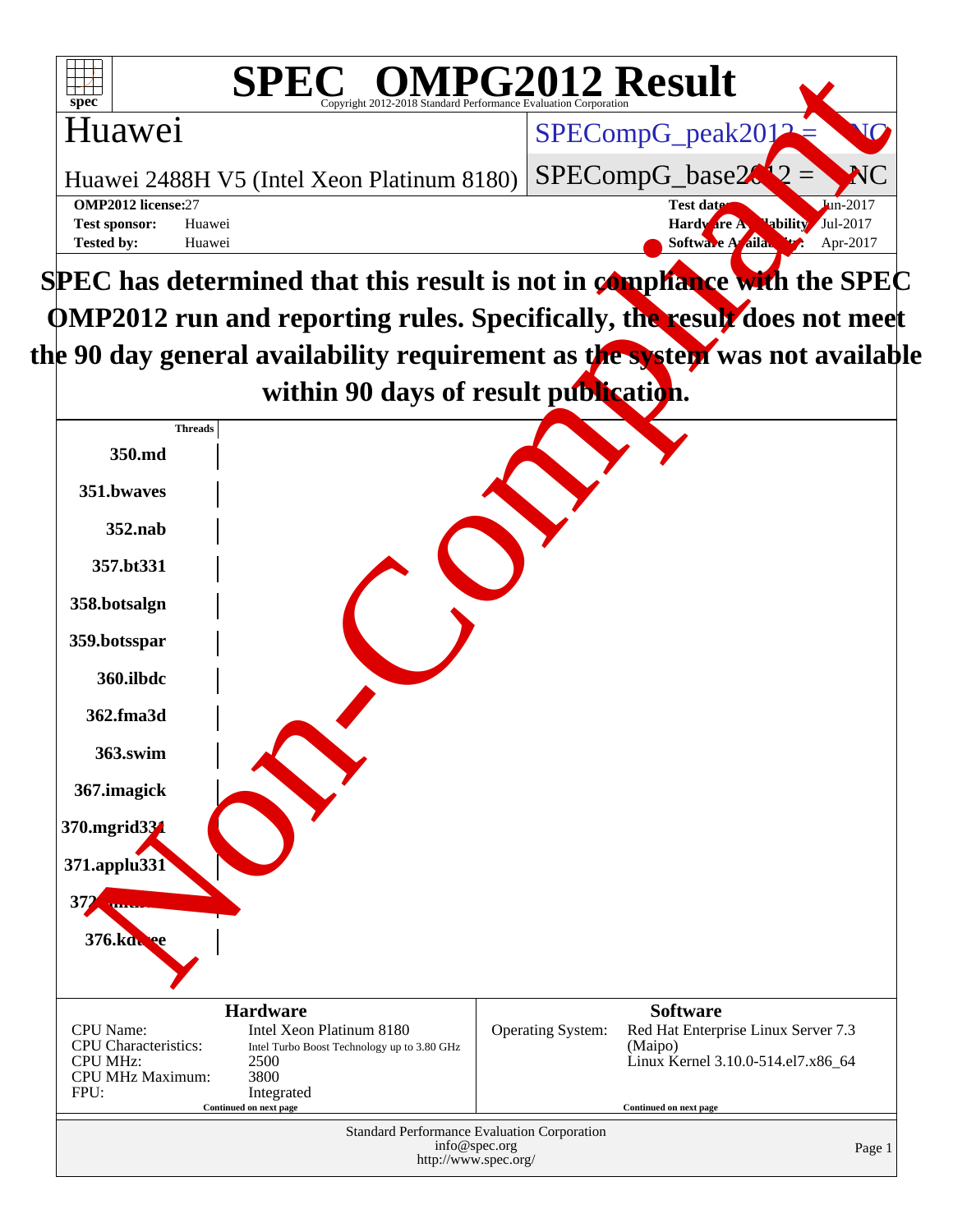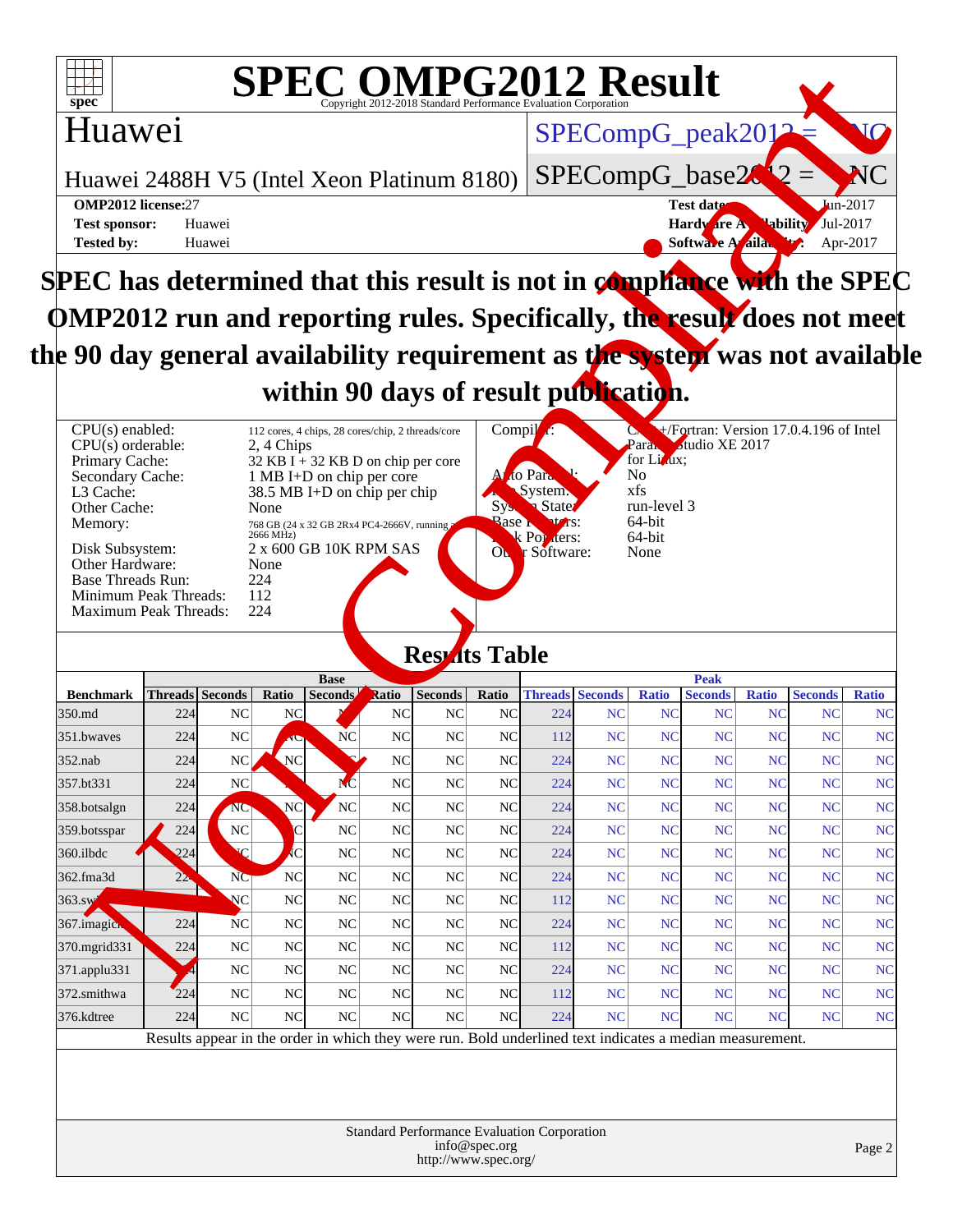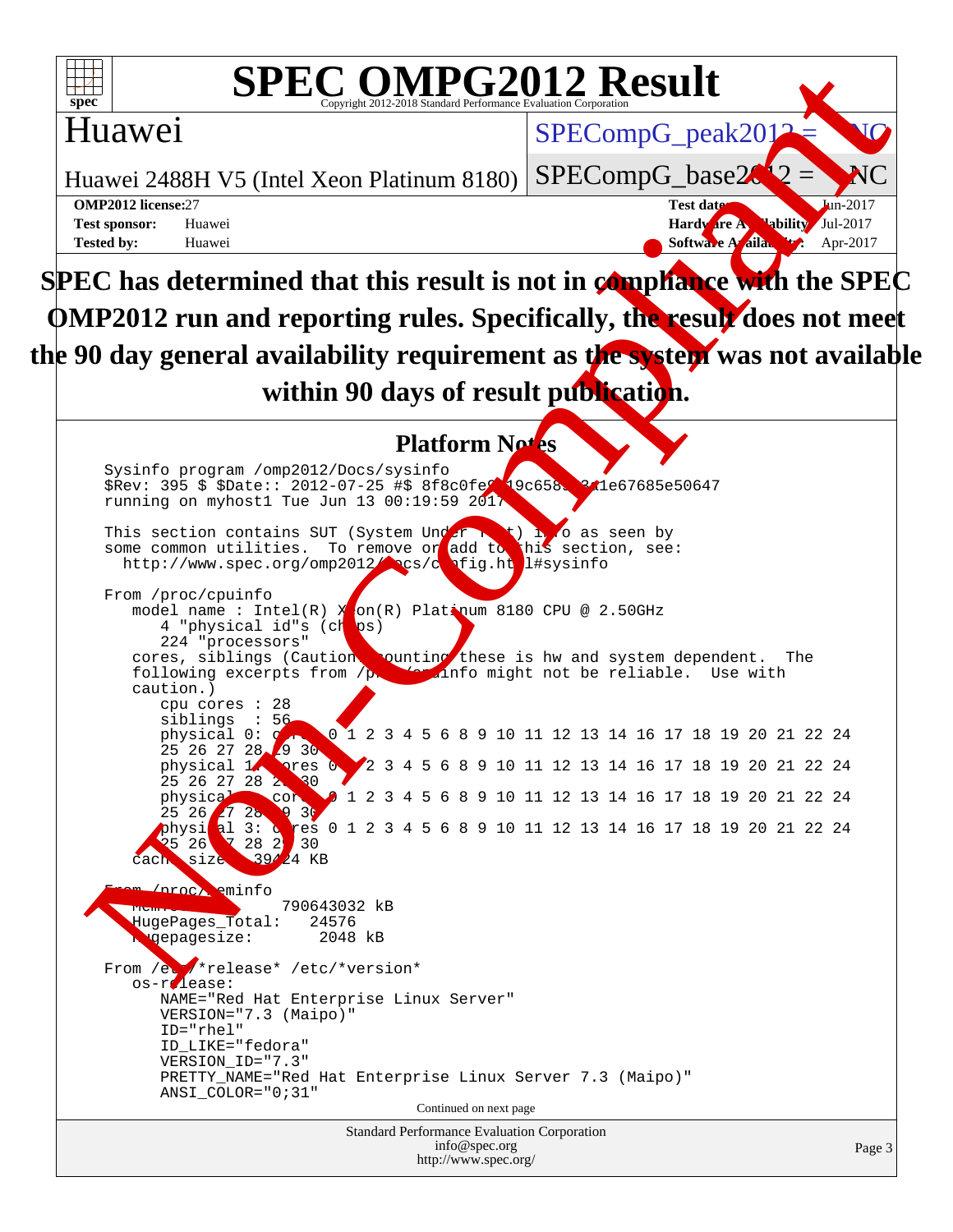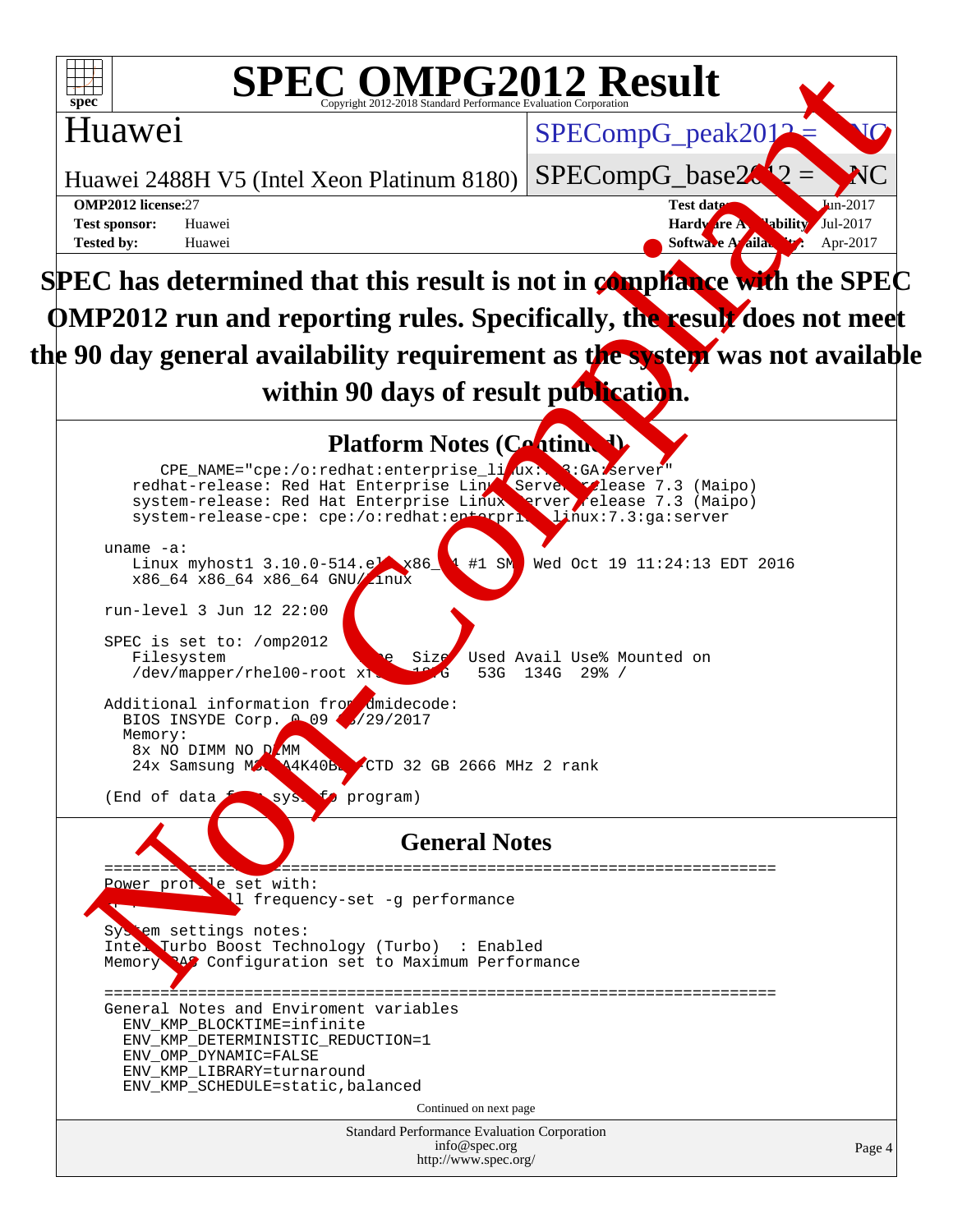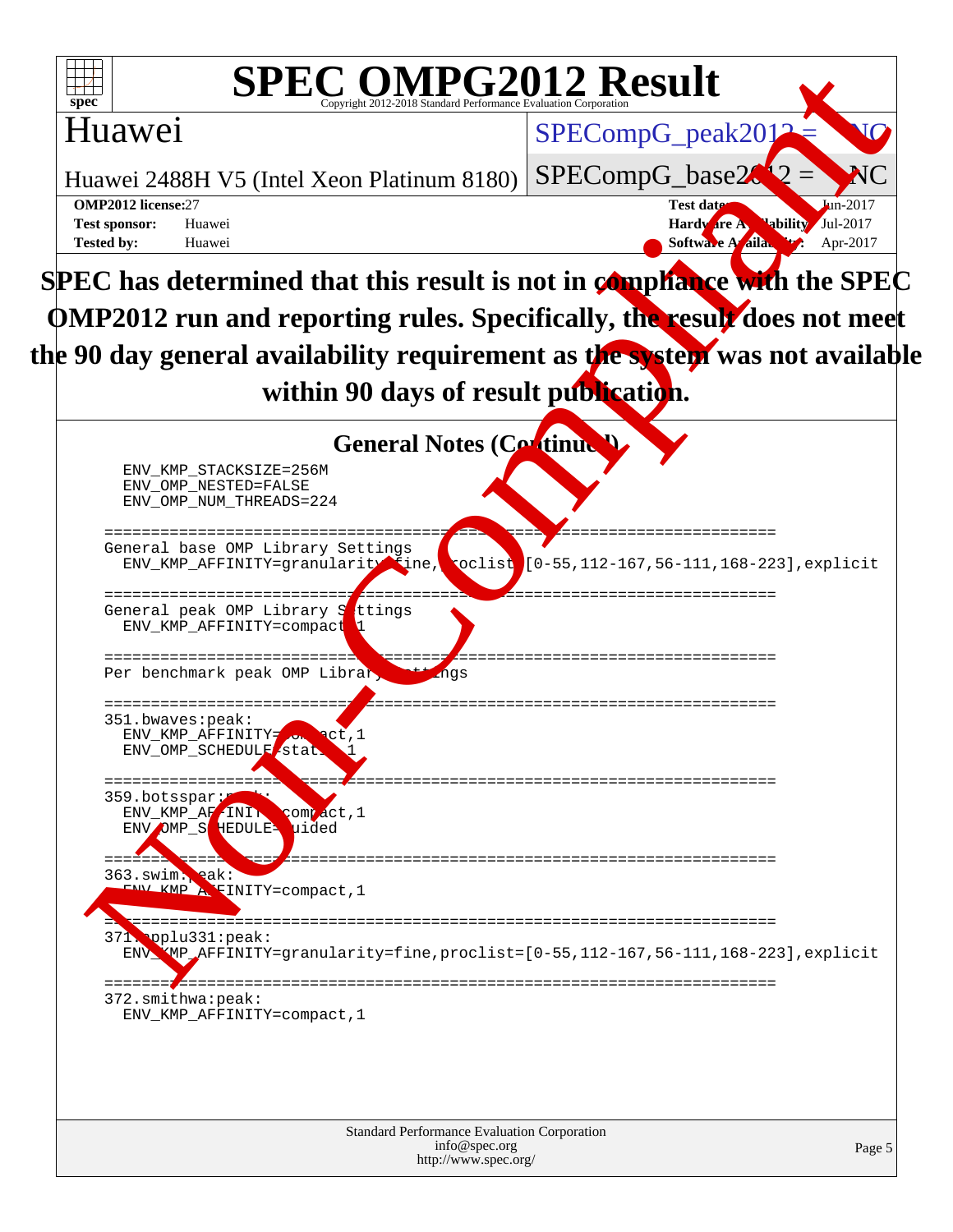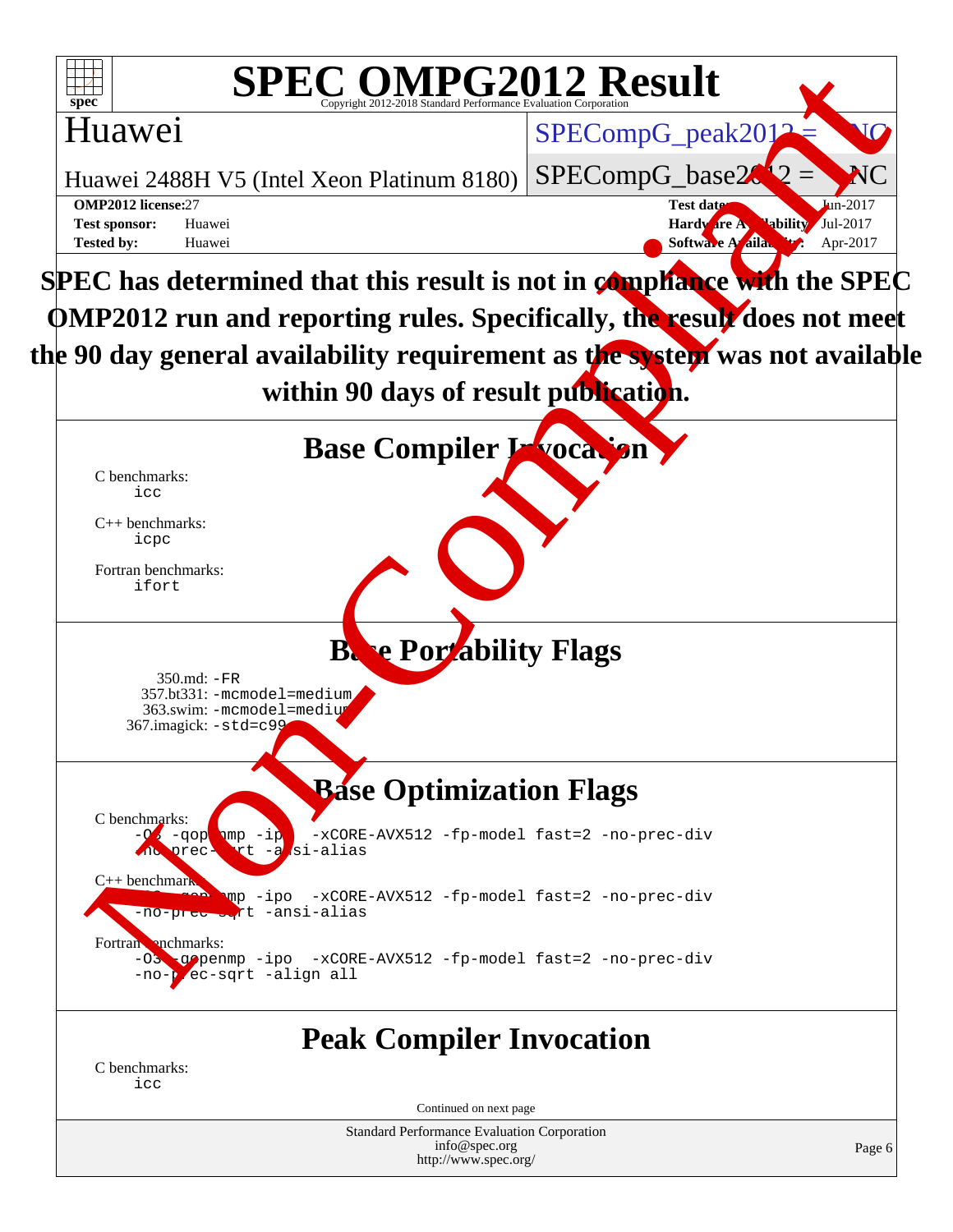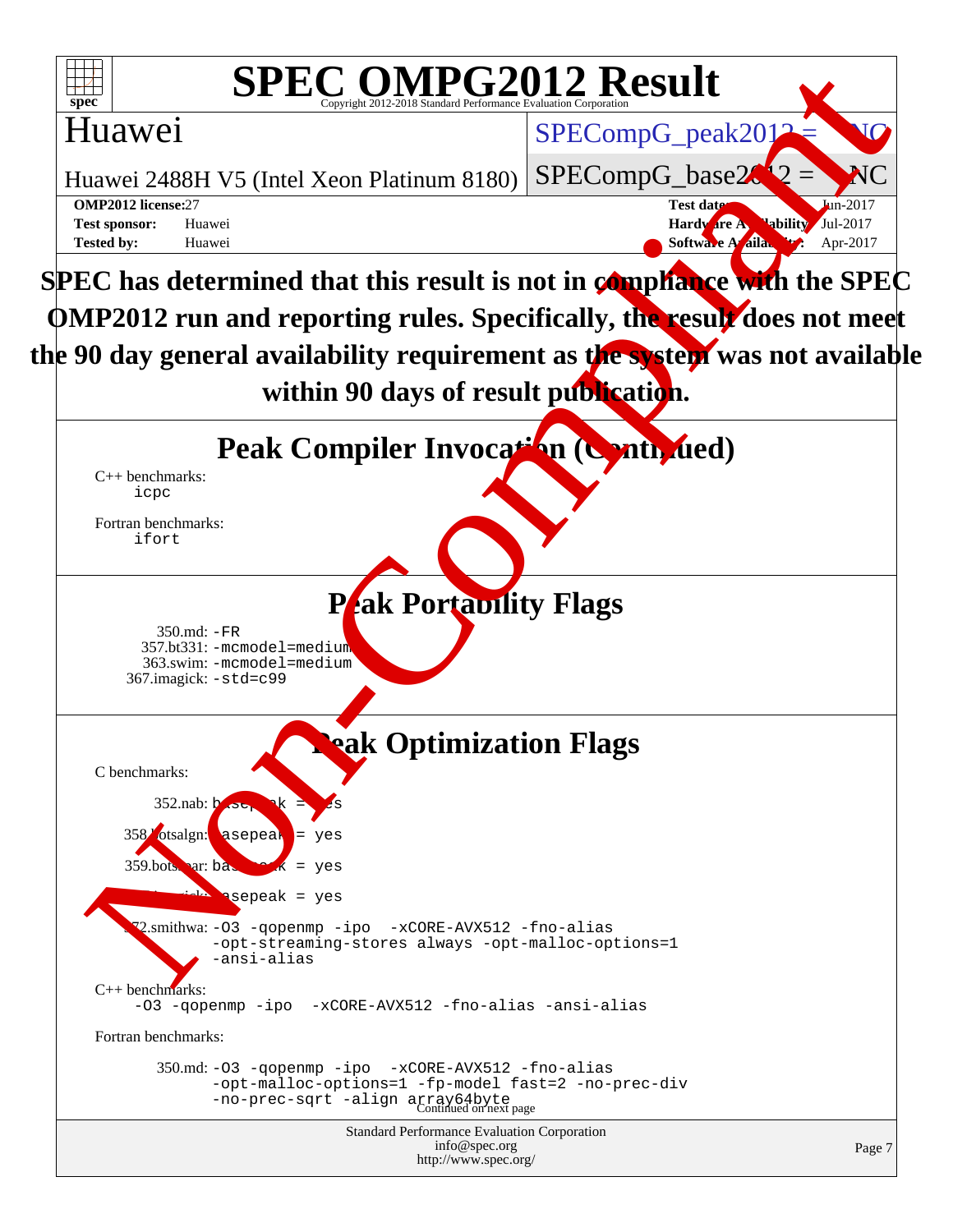